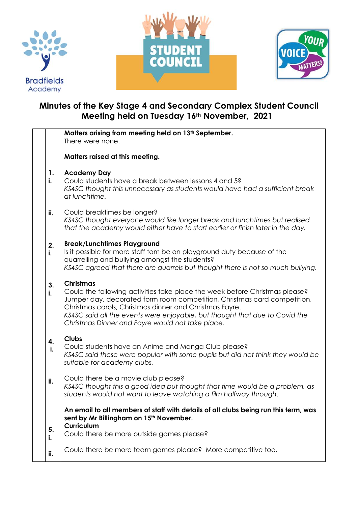





## **Minutes of the Key Stage 4 and Secondary Complex Student Council Meeting held on Tuesday 16th November, 2021**

|          | Matters arising from meeting held on 13 <sup>th</sup> September.<br>There were none.                                                                                                                                                                                                                                                                                      |
|----------|---------------------------------------------------------------------------------------------------------------------------------------------------------------------------------------------------------------------------------------------------------------------------------------------------------------------------------------------------------------------------|
|          | Matters raised at this meeting.                                                                                                                                                                                                                                                                                                                                           |
| 1.<br>i. | <b>Academy Day</b><br>Could students have a break between lessons 4 and 5?<br>KS4SC thought this unnecessary as students would have had a sufficient break<br>at lunchtime.                                                                                                                                                                                               |
| ii.      | Could breaktimes be longer?<br>KS4SC thought everyone would like longer break and lunchtimes but realised<br>that the academy would either have to start earlier or finish later in the day.                                                                                                                                                                              |
| 2.<br>i. | <b>Break/Lunchtimes Playground</b><br>Is it possible for more staff tom be on playground duty because of the<br>quarrelling and bullying amongst the students?<br>KS4SC agreed that there are quarrels but thought there is not so much bullying.                                                                                                                         |
| 3.<br>i. | <b>Christmas</b><br>Could the following activities take place the week before Christmas please?<br>Jumper day, decorated form room competition, Christmas card competition,<br>Christmas carols, Christmas dinner and Christmas Fayre.<br>KS4SC said all the events were enjoyable, but thought that due to Covid the<br>Christmas Dinner and Fayre would not take place. |
| 4.<br>i. | <b>Clubs</b><br>Could students have an Anime and Manga Club please?<br>KS4SC said these were popular with some pupils but did not think they would be<br>suitable for academy clubs.                                                                                                                                                                                      |
| ii.      | Could there be a movie club please?<br>KS4SC thought this a good idea but thought that time would be a problem, as<br>students would not want to leave watching a film halfway through                                                                                                                                                                                    |
|          | An email to all members of staff with details of all clubs being run this term, was<br>sent by Mr Billingham on 15 <sup>th</sup> November.<br>Curriculum                                                                                                                                                                                                                  |
| 5.<br>i. | Could there be more outside games please?                                                                                                                                                                                                                                                                                                                                 |
| ii.      | Could there be more team games please? More competitive too.                                                                                                                                                                                                                                                                                                              |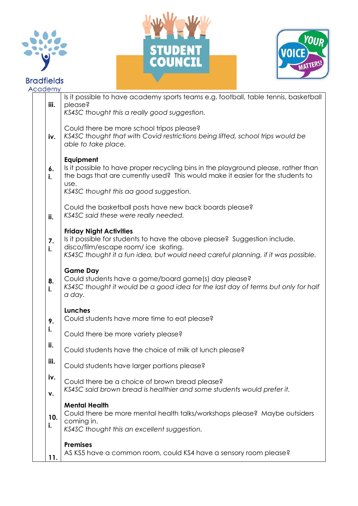

## **Bradfields**  $\overline{A}$





| cademy    |                                                                                                                                                                                                                                          |
|-----------|------------------------------------------------------------------------------------------------------------------------------------------------------------------------------------------------------------------------------------------|
| iii.      | Is it possible to have academy sports teams e.g. football, table tennis, basketball<br>please?<br>KS4SC thought this a really good suggestion.                                                                                           |
| iv.       | Could there be more school tripos please?<br>KS4SC thought that with Covid restrictions being lifted, school trips would be<br>able to take place.                                                                                       |
| 6.<br>i.  | Equipment<br>Is it possible to have proper recycling bins in the playground please, rather than<br>the bags that are currently used? This would make it easier for the students to<br>use.<br>KS4SC thought this aa good suggestion.     |
| ii.       | Could the basketball posts have new back boards please?<br>KS4SC said these were really needed.                                                                                                                                          |
| 7.<br>i.  | <b>Friday Night Activities</b><br>Is it possible for students to have the above please? Suggestion include,<br>disco/film/escape room/ ice skating.<br>KS4SC thought it a fun idea, but would need careful planning, if it was possible. |
| 8.<br>i.  | <b>Game Day</b><br>Could students have a game/board game(s) day please?<br>KS4SC thought it would be a good idea for the last day of terms but only for half<br>a day.                                                                   |
| 9.<br>i.  | Lunches<br>Could students have more time to eat please?                                                                                                                                                                                  |
|           | Could there be more variety please?                                                                                                                                                                                                      |
| ii.       | Could students have the choice of milk at lunch please?                                                                                                                                                                                  |
| iii.      | Could students have larger portions please?                                                                                                                                                                                              |
| iv.<br>v. | Could there be a choice of brown bread please?<br>KS4SC said brown bread is healthier and some students would prefer it.                                                                                                                 |
| 10.<br>i. | <b>Mental Health</b><br>Could there be more mental health talks/workshops please? Maybe outsiders<br>coming in.<br>KS4SC thought this an excellent suggestion.                                                                           |
| 11.       | <b>Premises</b><br>AS KS5 have a common room, could KS4 have a sensory room please?                                                                                                                                                      |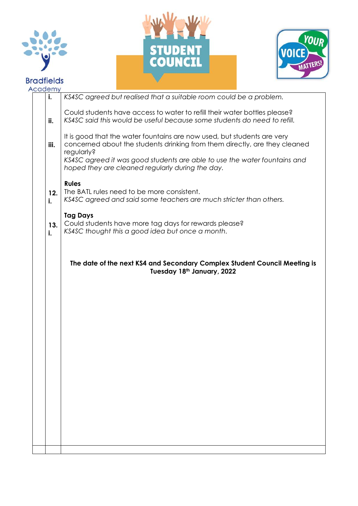





| Academy   |                                                                                                                                                                                                                                                  |
|-----------|--------------------------------------------------------------------------------------------------------------------------------------------------------------------------------------------------------------------------------------------------|
| i.        | KS4SC agreed but realised that a suitable room could be a problem.                                                                                                                                                                               |
| ii.       | Could students have access to water to refill their water bottles please?<br>KS4SC said this would be useful because some students do need to refill.                                                                                            |
| iii.      | It is good that the water fountains are now used, but students are very<br>concerned about the students drinking from them directly, are they cleaned<br>regularly?<br>KS4SC agreed it was good students are able to use the water fountains and |
|           | hoped they are cleaned regularly during the day.                                                                                                                                                                                                 |
| 12.<br>i. | <b>Rules</b><br>The BATL rules need to be more consistent.<br>KS4SC agreed and said some teachers are much stricter than others.                                                                                                                 |
| 13.<br>i. | <b>Tag Days</b><br>Could students have more tag days for rewards please?<br>KS4SC thought this a good idea but once a month.                                                                                                                     |
|           | The date of the next KS4 and Secondary Complex Student Council Meeting is<br>Tuesday 18th January, 2022                                                                                                                                          |
|           |                                                                                                                                                                                                                                                  |
|           |                                                                                                                                                                                                                                                  |
|           |                                                                                                                                                                                                                                                  |
|           |                                                                                                                                                                                                                                                  |
|           |                                                                                                                                                                                                                                                  |